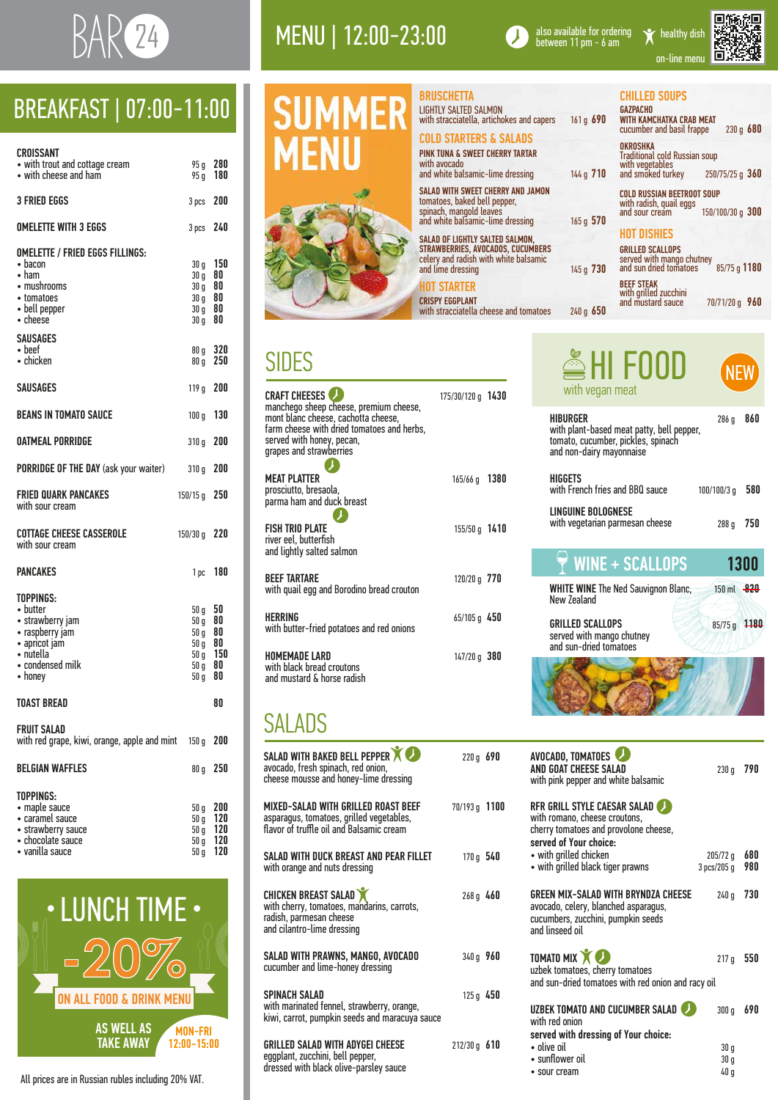

## MENU | 12:00-23:00



also available for ordering<br>between 11 pm - 6 am

on-line menu

| $\bullet$ caramel sauce | $50q$ 120 |  |
|-------------------------|-----------|--|
| • strawberry sauce      | $50q$ 120 |  |
| • chocolate sauce       | $50q$ 120 |  |
| oques elligeus          | $Enn$ 120 |  |

 $\frac{1}{20}$  vanilla sauce  $\frac{50}{9}$   $\frac{120}{20}$ 

 $50 g$  120

| CROISSANT<br>• with trout and cottage cream<br>• with cheese and ham                                                                         | 95 g<br>95 g 180                                                                  | 280                        |
|----------------------------------------------------------------------------------------------------------------------------------------------|-----------------------------------------------------------------------------------|----------------------------|
| <b>3 FRIED EGGS</b>                                                                                                                          | 3 pcs 200                                                                         |                            |
| <b>OMELETTE WITH 3 EGGS</b>                                                                                                                  | 3 pcs                                                                             | 240                        |
| <b>OMELETTE / FRIED EGGS FILLINGS:</b><br>$\bullet$ bacon<br>$\bullet$ ham<br>• mushrooms<br>• tomatoes<br>• bell pepper<br>$\bullet$ cheese | 30 <sub>g</sub><br>$30 g$ 80<br>$30 g$ 80<br>$30 g$ 80<br>$30 g$ 80<br>$30 g$ 80  | 150                        |
| <b>SAUSAGES</b><br>$\bullet$ beef<br>• chicken                                                                                               | 80q<br>80q                                                                        | 320<br>250                 |
| <b>SAUSAGES</b>                                                                                                                              | 119 g 200                                                                         |                            |
| <b>BEANS IN TOMATO SAUCE</b>                                                                                                                 | 100 g                                                                             | 130                        |
| <b>OATMEAL PORRIDGE</b>                                                                                                                      | 310q                                                                              | 200                        |
| <b>PORRIDGE OF THE DAY (ask your waiter)</b>                                                                                                 | 310 g                                                                             | 200                        |
| <b>FRIED QUARK PANCAKES</b><br>with sour cream                                                                                               | $150/15$ g                                                                        | 250                        |
| <b>COTTAGE CHEESE CASSEROLE</b><br>with sour cream                                                                                           | 150/30 g                                                                          | 220                        |
| <b>PANCAKES</b>                                                                                                                              |                                                                                   | 1 pc 180                   |
| TOPPINGS:<br>• butter<br>• strawberry jam<br>• raspberry jam<br>· apricot jam<br>$\bullet$ nutella<br>• condensed milk<br>$\bullet$ honey    | 50q<br>50 g<br>50q<br>$50\,\mathrm{g}$ 80<br>$50\,\mathrm{g}$ 150<br>50 g<br>50 g | 50<br>80<br>80<br>80<br>80 |
| <b>TOAST BREAD</b>                                                                                                                           |                                                                                   | 80                         |
| <b>FRUIT SALAD</b><br>with red grape, kiwi, orange, apple and mint                                                                           | 150 <sub>g</sub>                                                                  | 200                        |
| <b>BELGIAN WAFFLES</b>                                                                                                                       | 80 <sub>q</sub>                                                                   | 250                        |
| <b>TOPPINGS:</b><br>• maple sauce<br>• caramel sauce                                                                                         | 50 <sub>g</sub><br>50 <sub>g</sub>                                                | 200<br>120                 |





SALAD WITH BAKED BELL PEPPER **220** g 690 avocado, fresh spinach, red onion, cheese mousse and honey-lime dressing MIXED-SALAD WITH GRILLED ROAST BEEF 70/193 g 1100 asparagus, tomatoes, grilled vegetables,

SALAD WITH DUCK BREAST AND PEAR FILLET 170 g 540 with orange and nuts dressing

CHICKEN BREAST SALAD 268 g 460 with cherry, tomatoes, mandarins, carrots, radish, parmesan cheese and cilantro-lime dressing

SALAD WITH PRAWNS, MANGO, AVOCADO 340 g 960 cucumber and lime-honey dressing

# BREAKFAST | 07:00-11:00

#### SIDES

SPINACH SALAD 125 g 450 with marinated fennel, strawberry, orange, kiwi, carrot, pumpkin seeds and maracuya sauce

GRILLED SALAD WITH ADYGEI CHEESE 212/30 g 610 eggplant, zucchini, bell pepper, dressed with black olive-parsley sauce

AND GOAT CHEESE SALAD 230 g 790 with pink pepper and white balsamic RFR GRILL STYLE CAESAR SALAD with romano, cheese croutons,

cherry tomatoes and provolone cheese, served of Your choice: • with grilled chicken 205/72 g 680 • with grilled black tiger prawns 3 pcs/205 g 980

| <b>CRAFT CHEESES</b><br>manchego sheep cheese, premium cheese,<br>mont blanc cheese, cachotta cheese,<br>farm cheese with dried tomatoes and herbs,<br>served with honey, pecan,<br>grapes and strawberries | $175/30/120 g$ 1430 |  |
|-------------------------------------------------------------------------------------------------------------------------------------------------------------------------------------------------------------|---------------------|--|
| <b>MEAT PLATTER</b><br>prosciutto, bresaola,<br>parma ham and duck breast                                                                                                                                   | 165/66 g 1380       |  |
| <b>FISH TRIO PLATE</b><br>river eel, butterfish<br>and lightly salted salmon                                                                                                                                | $155/50 g$ 1410     |  |
| <b>BEEF TARTARE</b><br>with quail egg and Borodino bread crouton                                                                                                                                            | 120/20 g 770        |  |
| <b>HERRING</b><br>with butter-fried potatoes and red onions                                                                                                                                                 | $65/105$ g 450      |  |
| HOMEMADE LARD<br>with black bread croutons<br>and mustard & horse radish                                                                                                                                    | $147/20$ g $380$    |  |

TOMATO MIX 2020 217 g 550 uzbek tomatoes, cherry tomatoes and sun-dried tomatoes with red onion and racy oil

UZBEK TOMATO AND CUCUMBER SALAD 300 g 690

served with dressing of Your choice: • olive oil 30 g

- 
- sunflower oil 30 g
	- sour cream 40 g

## SALADS

flavor of truffle oil and Balsamic cream

**GAZPACHO** WITH KAMCHATKA CRAB MEAT cucumber and basil frappe 230 g 680

AVOCADO, TOMATOES

GREEN MIX-SALAD WITH BRYNDZA CHEESE 240 g 730 avocado, celery, blanched asparagus, cucumbers, zucchini, pumpkin seeds and linseed oil

with red onion

**-20%**  $\overline{H}$   $\overline{H}$   $\overline{H}$ .<br>См. 11 TAKE AWAY AS WELL AS  $\sum_{n=1}^{\infty}$ MON-FRI  $\cdot$  LUNCH TIME  $\cdot$ **-20%** ON ALL FOOD TAKE AWAY 12:00-15:00

All prices are in Russian rubles including 20% VAT.

| BRUSCHETTA                                                         |  |
|--------------------------------------------------------------------|--|
| LIGHTLY SALTED SALMON<br>with stracciatella, artichokes and capers |  |

#### COLD STARTERS & SALADS

PINK TUNA & SWEET CHERRY TARTAR with avocado and white balsamic-lime dressing

SALAD WITH SWEET CHERRY AND JAMON tomatoes, baked bell pepper, spinach, mangold leaves and white balsamic-lime dressing

SALAD OF LIGHTLY SALTED SALMON, STRAWBERRIES, AVOCADOS, CUCUMBERS celery and radish with white balsamic and lime dressing

#### IOT STARTER

CRISPY EGGPLANT with stracciatella cheese and tomatoes 161 g 690

144 g 710

165 g 570

240 g 650

**HIGGETS** 

145 g 730

#### HOT DISHIES

GRILLED SCALLOPS served with mango chutney and sun dried tomatoes 85/75 g 1180

BEEF STEAK with grilled zucchini and mustard sauce

70/71/20 g 960

#### CHILLED SOUPS

OKROSHKA Traditional cold Russian soup with vegetables and smoked turkey 250/75/25 g 360

COLD RUSSIAN BEETROOT SOUP with radish, quail eggs and sour cream 150/100/30 g 300

| HI FOOD<br>with vegan meat |
|----------------------------|
| <b>HIBURGER</b>            |



NEW